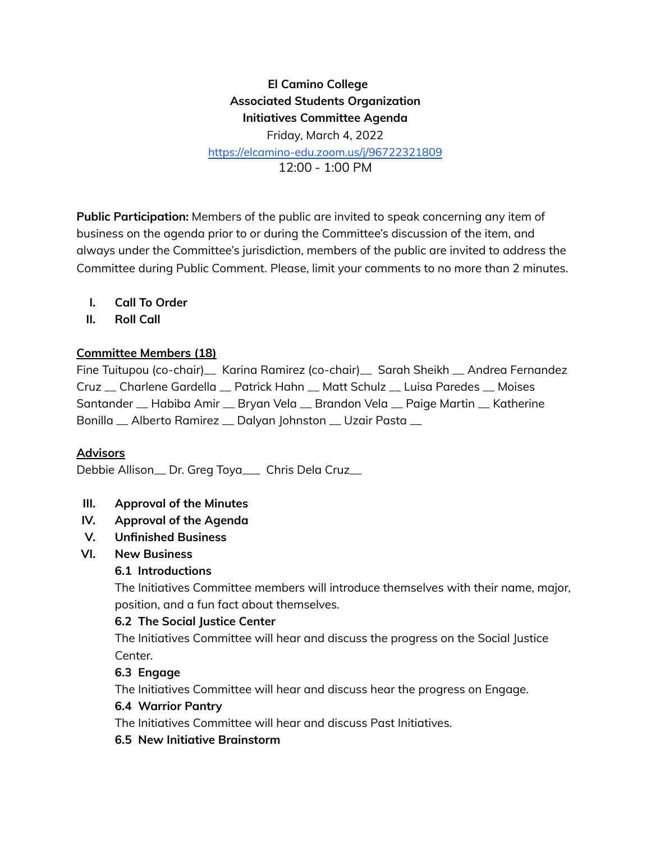# **El Camino College Associated Students Organization Initiatives Committee Agenda** Friday, March 4, 2022

[https://elcamino-edu.zoom.us/j/96722321809](https://elcamino-edu.zoom.us/j/96722321809#success)

12:00 - 1:00 PM

**Public Participation:** Members of the public are invited to speak concerning any item of business on the agenda prior to or during the Committee's discussion of the item, and always under the Committee's jurisdiction, members of the public are invited to address the Committee during Public Comment. Please, limit your comments to no more than 2 minutes.

- **I. Call To Order**
- **II. Roll Call**

### **Committee Members (18)**

Fine Tuitupou (co-chair)\_\_ Karina Ramirez (co-chair)\_\_ Sarah Sheikh \_\_ Andrea Fernandez Cruz \_\_ Charlene Gardella \_\_ Patrick Hahn \_\_ Matt Schulz \_\_ Luisa Paredes \_\_ Moises Santander \_\_ Habiba Amir \_\_ Bryan Vela \_\_ Brandon Vela \_\_ Paige Martin \_\_ Katherine Bonilla \_\_ Alberto Ramirez \_\_ Dalyan Johnston \_\_ Uzair Pasta \_\_

## **Advisors**

Debbie Allison\_\_ Dr. Greg Toya\_\_\_ Chris Dela Cruz\_\_

- **III. Approval of the Minutes**
- **IV. Approval of the Agenda**
- **V. Unfinished Business**
- **VI. New Business**

#### **6.1 Introductions**

The Initiatives Committee members will introduce themselves with their name, major, position, and a fun fact about themselves.

#### **6.2 The Social Justice Center**

The Initiatives Committee will hear and discuss the progress on the Social Justice Center.

## **6.3 Engage**

The Initiatives Committee will hear and discuss hear the progress on Engage.

#### **6.4 Warrior Pantry**

The Initiatives Committee will hear and discuss Past Initiatives.

#### **6.5 New Initiative Brainstorm**